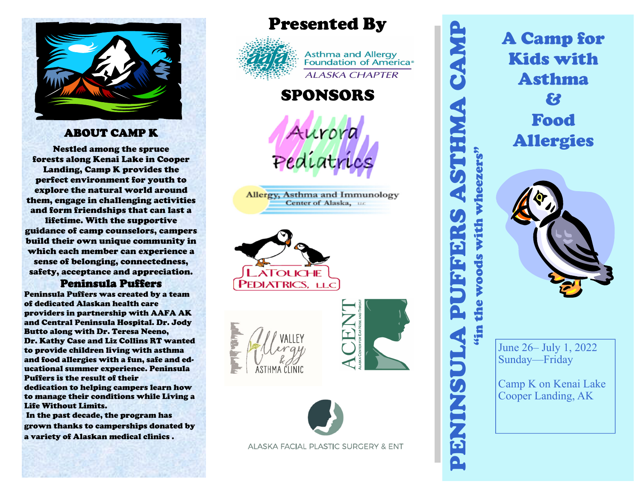

#### ABOUT CAMP K

Nestled among the spruce forests along Kenai Lake in Cooper Landing, Camp K provides the perfect environment for youth to explore the natural world around them, engage in challenging activities and form friendships that can last a lifetime. With the supportive

guidance of camp counselors, campers build their own unique community in which each member can experience a sense of belonging, connectedness, safety, acceptance and appreciation.

#### Peninsula Puffers

Peninsula Puffers was created by a team of dedicated Alaskan health care providers in partnership with AAFA AK and Central Peninsula Hospital. Dr. Jody Butto along with Dr. Teresa Neeno, Dr. Kathy Case and Liz Collins RT wanted to provide children living with asthma and food allergies with a fun, safe and educational summer experience. Peninsula Puffers is the result of their dedication to helping campers learn how to manage their conditions while Living a Life Without Limits.

 In the past decade, the program has grown thanks to camperships donated by a variety of Alaskan medical clinics .

Presented By



Asthma and Allergy<br>Foundation of America® **ALASKA CHAPTER** 

## SPONSORS

Aurora

Allergy, Asthma and Immunology Center of Alaska, LLC









ALASKA FACIAL PLASTIC SURGERY & ENT

PENINSULA PUFFERS ASTHMA CAMP "in the woods with wheezers" with wheezers' **DOOM &** 

A Camp for Kids with Asthma & Food Allergies



June 26– July 1, 2022 Sunday—Friday

Camp K on Kenai Lake Cooper Landing, AK